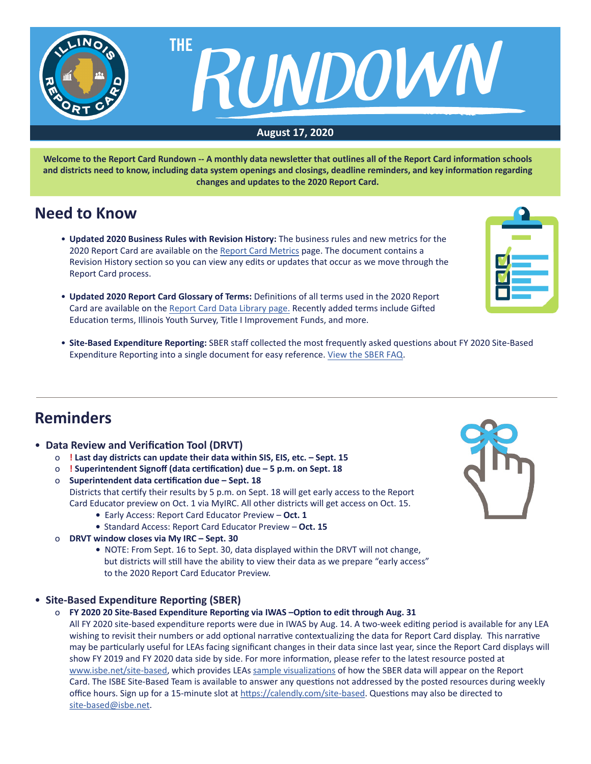

**Welcome to the Report Card Rundown -- A monthly data newsletter that outlines all of the Report Card information schools and districts need to know, including data system openings and closings, deadline reminders, and key information regarding changes and updates to the 2020 Report Card.**

## **Need to Know**

- **Updated 2020 Business Rules with Revision History:** The business rules and new metrics for the 2020 Report Card are available on the [Report Card Metrics](https://www.isbe.net/Pages/Report-Card-Metrics.aspx) page. The document contains a Revision History section so you can view any edits or updates that occur as we move through the Report Card process.
- Updated 2020 Report Card Glossary of Terms: Definitions of all terms used in the 2020 Report Card are available on the [Report Card Data Library page.](https://www.isbe.net/Pages/Illinois-State-Report-Card-Data.aspx) Recently added terms include Gifted Education terms, Illinois Youth Survey, Title I Improvement Funds, and more.
- Site-Based Expenditure Reporting: SBER staff collected the most frequently asked questions about FY 2020 Site-Based Expenditure Reporting into a single document for easy reference. View the SBER FAQ.

## **Reminders**

- **Data Review and Verification Tool (DRVT)**
	- o **! Last day districts can update their data within SIS, EIS, etc. Sept. 15**
	- o **! Superintendent Signoff (data certification) due 5 p.m. on Sept. 18**
	- o **Superintendent data certification due Sept. 18** Districts that certify their results by 5 p.m. on Sept. 18 will get early access to the Report Card Educator preview on Oct. 1 via MyIRC. All other districts will get access on Oct. 15.
		- **•** Early Access: Report Card Educator Preview – **Oct. 1**
		- **•** Standard Access: Report Card Educator Preview **Oct. 15**
	- o **DRVT window closes via My IRC Sept. 30**
		- **•** NOTE: From Sept. 16 to Sept. 30, data displayed within the DRVT will not change, but districts will still have the ability to view their data as we prepare "early access" to the 2020 Report Card Educator Preview.
- **Site-Based Expenditure Reporting (SBER)**
	- o **FY 2020 20 Site-Based Expenditure Reporting via IWAS –Option to edit through Aug. 31**

All FY 2020 site-based expenditure reports were due in IWAS by Aug. 14. A two-week editing period is available for any LEA wishing to revisit their numbers or add optional narrative contextualizing the data for Report Card display. This narrative may be particularly useful for LEAs facing significant changes in their data since last year, since the Report Card displays will show FY 2019 and FY 2020 data side by side. For more information, please refer to the latest resource posted at [www.isbe.net/site-based](http://www.isbe.net/site-based), which provides LEAs sample [visualizations](https://www.isbe.net/Documents/FY20-Visualization-Overview-Districts.pdf) of how the SBER data will appear on the Report Card. The ISBE Site-Based Team is available to answer any questions not addressed by the posted resources during weekly office hours. Sign up for a 15-minute slot at <https://calendly.com/site-based>. Questions may also be directed to [site-based@isbe.net](mailto:site-based%40isbe.net?subject=).